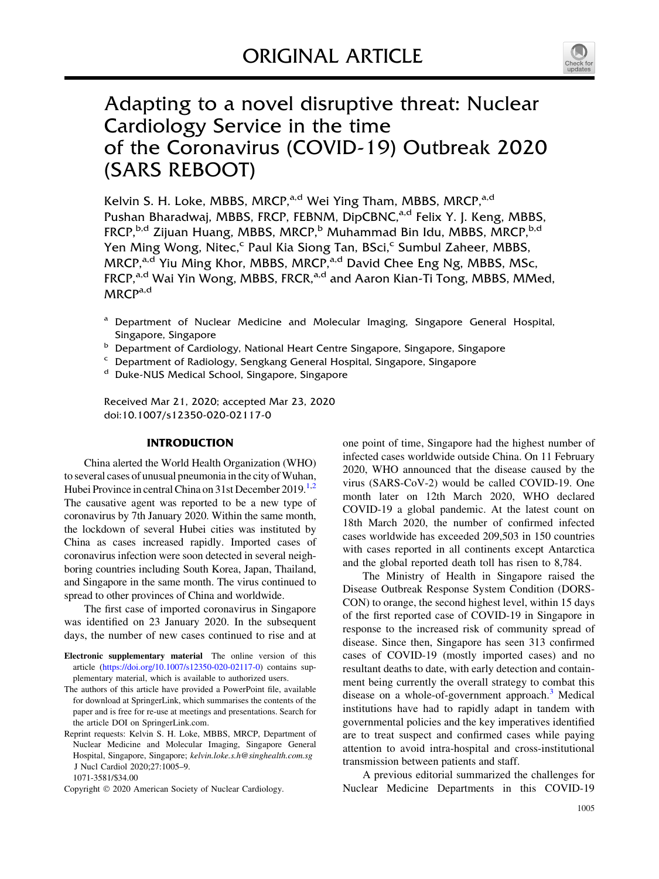

# Adapting to a novel disruptive threat: Nuclear Cardiology Service in the time of the Coronavirus (COVID-19) Outbreak 2020 (SARS REBOOT)

Kelvin S. H. Loke, MBBS, MRCP,<sup>a,d</sup> Wei Ying Tham, MBBS, MRCP,<sup>a,d</sup> Pushan Bharadwaj, MBBS, FRCP, FEBNM, DipCBNC,<sup>a,d</sup> Felix Y. J. Keng, MBBS, FRCP,<sup>b,d</sup> Zijuan Huang, MBBS, MRCP,<sup>b</sup> Muhammad Bin Idu, MBBS, MRCP,<sup>b,d</sup> Yen Ming Wong, Nitec,<sup>c</sup> Paul Kia Siong Tan, BSci,<sup>c</sup> Sumbul Zaheer, MBBS, MRCP,<sup>a,d</sup> Yiu Ming Khor, MBBS, MRCP,<sup>a,d</sup> David Chee Eng Ng, MBBS, MSc, FRCP,<sup>a,d</sup> Wai Yin Wong, MBBS, FRCR,<sup>a,d</sup> and Aaron Kian-Ti Tong, MBBS, MMed, MRCPa,d

- <sup>a</sup> Department of Nuclear Medicine and Molecular Imaging, Singapore General Hospital, Singapore, Singapore
- **b** Department of Cardiology, National Heart Centre Singapore, Singapore, Singapore
- $\epsilon$  Department of Radiology, Sengkang General Hospital, Singapore, Singapore  $\beta$  Duke-NHS Medical School Singapore Singapore
- Duke-NUS Medical School, Singapore, Singapore

Received Mar 21, 2020; accepted Mar 23, 2020 doi:10.1007/s12350-020-02117-0

#### INTRODUCTION

China alerted the World Health Organization (WHO) to several cases of unusual pneumonia in the city of Wuhan, Hubei Province in central China on 31st December 2019.<sup>[1,2](#page-4-0)</sup> The causative agent was reported to be a new type of coronavirus by 7th January 2020. Within the same month, the lockdown of several Hubei cities was instituted by China as cases increased rapidly. Imported cases of coronavirus infection were soon detected in several neighboring countries including South Korea, Japan, Thailand, and Singapore in the same month. The virus continued to spread to other provinces of China and worldwide.

The first case of imported coronavirus in Singapore was identified on 23 January 2020. In the subsequent days, the number of new cases continued to rise and at

- Electronic supplementary material The online version of this article [\(https://doi.org/10.1007/s12350-020-02117-0](https://doi.org/10.1007/s12350-020-02117-0)) contains supplementary material, which is available to authorized users.
- The authors of this article have provided a PowerPoint file, available for download at SpringerLink, which summarises the contents of the paper and is free for re-use at meetings and presentations. Search for the article DOI on SpringerLink.com.
- Reprint requests: Kelvin S. H. Loke, MBBS, MRCP, Department of Nuclear Medicine and Molecular Imaging, Singapore General Hospital, Singapore, Singapore; kelvin.loke.s.h@singhealth.com.sg J Nucl Cardiol 2020;27:1005–9. 1071-3581/\$34.00
- Copyright © 2020 American Society of Nuclear Cardiology.

one point of time, Singapore had the highest number of infected cases worldwide outside China. On 11 February 2020, WHO announced that the disease caused by the virus (SARS-CoV-2) would be called COVID-19. One month later on 12th March 2020, WHO declared COVID-19 a global pandemic. At the latest count on 18th March 2020, the number of confirmed infected cases worldwide has exceeded 209,503 in 150 countries with cases reported in all continents except Antarctica and the global reported death toll has risen to 8,784.

The Ministry of Health in Singapore raised the Disease Outbreak Response System Condition (DORS-CON) to orange, the second highest level, within 15 days of the first reported case of COVID-19 in Singapore in response to the increased risk of community spread of disease. Since then, Singapore has seen 313 confirmed cases of COVID-19 (mostly imported cases) and no resultant deaths to date, with early detection and containment being currently the overall strategy to combat this disease on a whole-of-government approach.<sup>[3](#page-4-0)</sup> Medical institutions have had to rapidly adapt in tandem with governmental policies and the key imperatives identified are to treat suspect and confirmed cases while paying attention to avoid intra-hospital and cross-institutional transmission between patients and staff.

A previous editorial summarized the challenges for Nuclear Medicine Departments in this COVID-19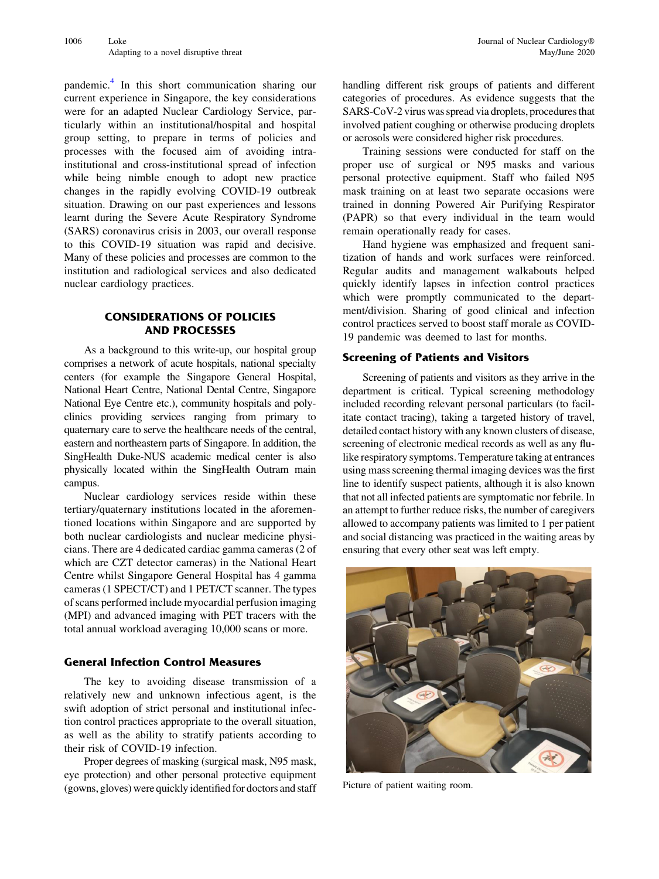pandemic.[4](#page-4-0) In this short communication sharing our current experience in Singapore, the key considerations were for an adapted Nuclear Cardiology Service, particularly within an institutional/hospital and hospital group setting, to prepare in terms of policies and processes with the focused aim of avoiding intrainstitutional and cross-institutional spread of infection while being nimble enough to adopt new practice changes in the rapidly evolving COVID-19 outbreak situation. Drawing on our past experiences and lessons learnt during the Severe Acute Respiratory Syndrome (SARS) coronavirus crisis in 2003, our overall response to this COVID-19 situation was rapid and decisive. Many of these policies and processes are common to the institution and radiological services and also dedicated nuclear cardiology practices.

# CONSIDERATIONS OF POLICIES AND PROCESSES

As a background to this write-up, our hospital group comprises a network of acute hospitals, national specialty centers (for example the Singapore General Hospital, National Heart Centre, National Dental Centre, Singapore National Eye Centre etc.), community hospitals and polyclinics providing services ranging from primary to quaternary care to serve the healthcare needs of the central, eastern and northeastern parts of Singapore. In addition, the SingHealth Duke-NUS academic medical center is also physically located within the SingHealth Outram main campus.

Nuclear cardiology services reside within these tertiary/quaternary institutions located in the aforementioned locations within Singapore and are supported by both nuclear cardiologists and nuclear medicine physicians. There are 4 dedicated cardiac gamma cameras (2 of which are CZT detector cameras) in the National Heart Centre whilst Singapore General Hospital has 4 gamma cameras (1 SPECT/CT) and 1 PET/CT scanner. The types of scans performed include myocardial perfusion imaging (MPI) and advanced imaging with PET tracers with the total annual workload averaging 10,000 scans or more.

# General Infection Control Measures

The key to avoiding disease transmission of a relatively new and unknown infectious agent, is the swift adoption of strict personal and institutional infection control practices appropriate to the overall situation, as well as the ability to stratify patients according to their risk of COVID-19 infection.

Proper degrees of masking (surgical mask, N95 mask, eye protection) and other personal protective equipment (gowns, gloves) were quickly identified for doctors and staff handling different risk groups of patients and different categories of procedures. As evidence suggests that the SARS-CoV-2 virus was spread via droplets, procedures that involved patient coughing or otherwise producing droplets or aerosols were considered higher risk procedures.

Training sessions were conducted for staff on the proper use of surgical or N95 masks and various personal protective equipment. Staff who failed N95 mask training on at least two separate occasions were trained in donning Powered Air Purifying Respirator (PAPR) so that every individual in the team would remain operationally ready for cases.

Hand hygiene was emphasized and frequent sanitization of hands and work surfaces were reinforced. Regular audits and management walkabouts helped quickly identify lapses in infection control practices which were promptly communicated to the department/division. Sharing of good clinical and infection control practices served to boost staff morale as COVID-19 pandemic was deemed to last for months.

#### Screening of Patients and Visitors

Screening of patients and visitors as they arrive in the department is critical. Typical screening methodology included recording relevant personal particulars (to facilitate contact tracing), taking a targeted history of travel, detailed contact history with any known clusters of disease, screening of electronic medical records as well as any flulike respiratory symptoms. Temperature taking at entrances using mass screening thermal imaging devices was the first line to identify suspect patients, although it is also known that not all infected patients are symptomatic nor febrile. In an attempt to further reduce risks, the number of caregivers allowed to accompany patients was limited to 1 per patient and social distancing was practiced in the waiting areas by ensuring that every other seat was left empty.



Picture of patient waiting room.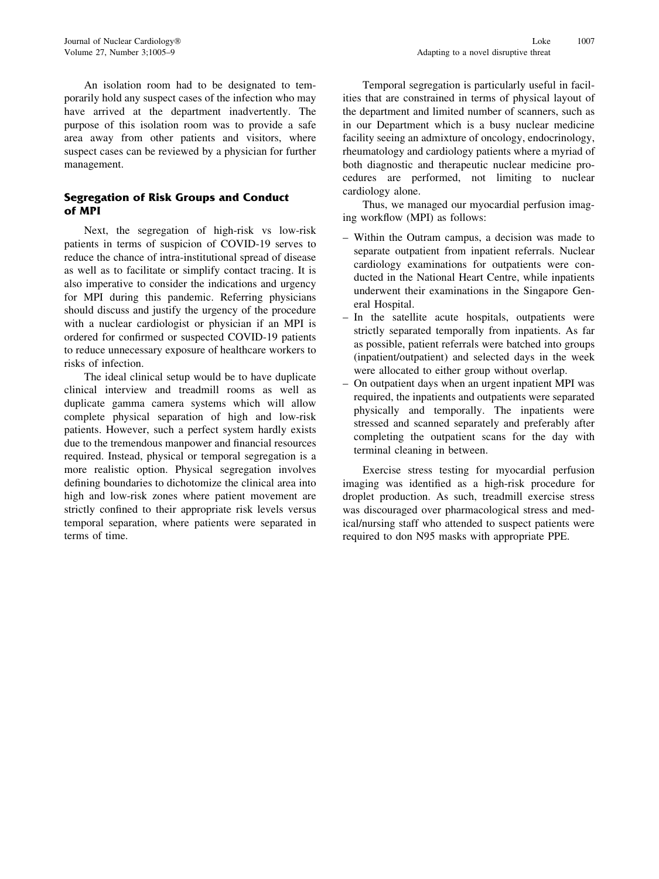An isolation room had to be designated to temporarily hold any suspect cases of the infection who may have arrived at the department inadvertently. The purpose of this isolation room was to provide a safe area away from other patients and visitors, where suspect cases can be reviewed by a physician for further management.

# Segregation of Risk Groups and Conduct of MPI

Next, the segregation of high-risk vs low-risk patients in terms of suspicion of COVID-19 serves to reduce the chance of intra-institutional spread of disease as well as to facilitate or simplify contact tracing. It is also imperative to consider the indications and urgency for MPI during this pandemic. Referring physicians should discuss and justify the urgency of the procedure with a nuclear cardiologist or physician if an MPI is ordered for confirmed or suspected COVID-19 patients to reduce unnecessary exposure of healthcare workers to risks of infection.

The ideal clinical setup would be to have duplicate clinical interview and treadmill rooms as well as duplicate gamma camera systems which will allow complete physical separation of high and low-risk patients. However, such a perfect system hardly exists due to the tremendous manpower and financial resources required. Instead, physical or temporal segregation is a more realistic option. Physical segregation involves defining boundaries to dichotomize the clinical area into high and low-risk zones where patient movement are strictly confined to their appropriate risk levels versus temporal separation, where patients were separated in terms of time.

Temporal segregation is particularly useful in facilities that are constrained in terms of physical layout of the department and limited number of scanners, such as in our Department which is a busy nuclear medicine facility seeing an admixture of oncology, endocrinology, rheumatology and cardiology patients where a myriad of both diagnostic and therapeutic nuclear medicine procedures are performed, not limiting to nuclear cardiology alone.

Thus, we managed our myocardial perfusion imaging workflow (MPI) as follows:

- Within the Outram campus, a decision was made to separate outpatient from inpatient referrals. Nuclear cardiology examinations for outpatients were conducted in the National Heart Centre, while inpatients underwent their examinations in the Singapore General Hospital.
- In the satellite acute hospitals, outpatients were strictly separated temporally from inpatients. As far as possible, patient referrals were batched into groups (inpatient/outpatient) and selected days in the week were allocated to either group without overlap.
- On outpatient days when an urgent inpatient MPI was required, the inpatients and outpatients were separated physically and temporally. The inpatients were stressed and scanned separately and preferably after completing the outpatient scans for the day with terminal cleaning in between.

Exercise stress testing for myocardial perfusion imaging was identified as a high-risk procedure for droplet production. As such, treadmill exercise stress was discouraged over pharmacological stress and medical/nursing staff who attended to suspect patients were required to don N95 masks with appropriate PPE.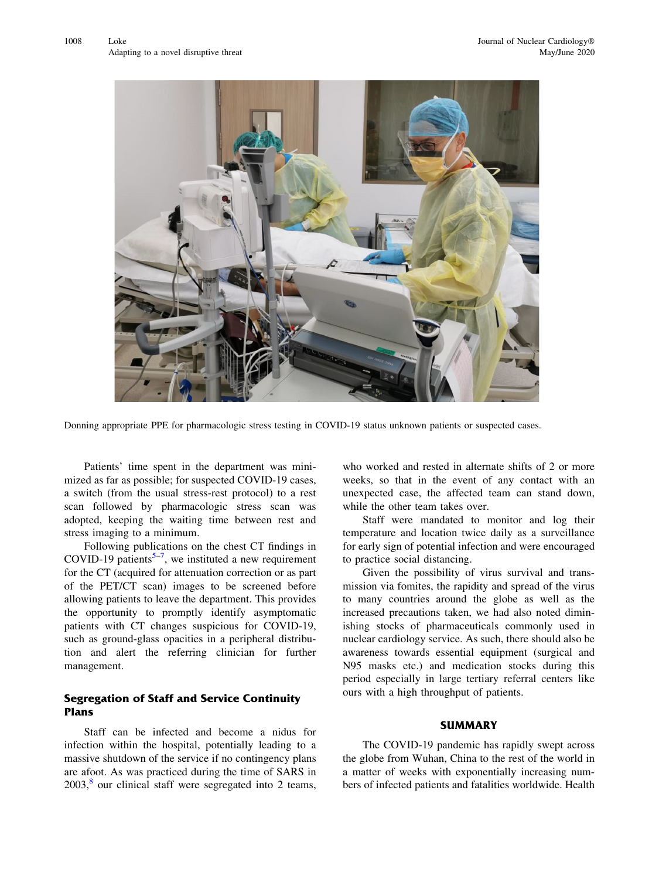

Donning appropriate PPE for pharmacologic stress testing in COVID-19 status unknown patients or suspected cases.

Patients' time spent in the department was minimized as far as possible; for suspected COVID-19 cases, a switch (from the usual stress-rest protocol) to a rest scan followed by pharmacologic stress scan was adopted, keeping the waiting time between rest and stress imaging to a minimum.

Following publications on the chest CT findings in COVID-19 patients<sup>5-7</sup>, we instituted a new requirement for the CT (acquired for attenuation correction or as part of the PET/CT scan) images to be screened before allowing patients to leave the department. This provides the opportunity to promptly identify asymptomatic patients with CT changes suspicious for COVID-19, such as ground-glass opacities in a peripheral distribution and alert the referring clinician for further management.

# Segregation of Staff and Service Continuity Plans

Staff can be infected and become a nidus for infection within the hospital, potentially leading to a massive shutdown of the service if no contingency plans are afoot. As was practiced during the time of SARS in  $2003$ <sup>[8](#page-4-0)</sup> our clinical staff were segregated into 2 teams, who worked and rested in alternate shifts of 2 or more weeks, so that in the event of any contact with an unexpected case, the affected team can stand down, while the other team takes over.

Staff were mandated to monitor and log their temperature and location twice daily as a surveillance for early sign of potential infection and were encouraged to practice social distancing.

Given the possibility of virus survival and transmission via fomites, the rapidity and spread of the virus to many countries around the globe as well as the increased precautions taken, we had also noted diminishing stocks of pharmaceuticals commonly used in nuclear cardiology service. As such, there should also be awareness towards essential equipment (surgical and N95 masks etc.) and medication stocks during this period especially in large tertiary referral centers like ours with a high throughput of patients.

#### **SUMMARY**

The COVID-19 pandemic has rapidly swept across the globe from Wuhan, China to the rest of the world in a matter of weeks with exponentially increasing numbers of infected patients and fatalities worldwide. Health